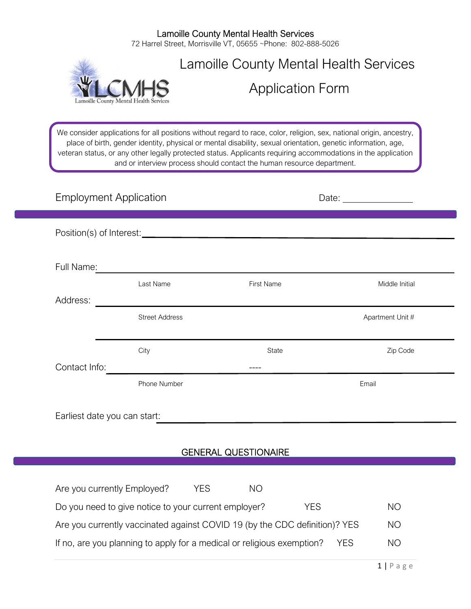#### Lamoille County Mental Health Services 72 Harrel Street, Morrisville VT, 05655 ~Phone: 802-888-5026



# Lamoille County Mental Health Services

Application Form

We consider applications for all positions without regard to race, color, religion, sex, national origin, ancestry, place of birth, gender identity, physical or mental disability, sexual orientation, genetic information, age, veteran status, or any other legally protected status. Applicants requiring accommodations in the application and or interview process should contact the human resource department.

| <b>Employment Application</b> |                       |                   |                  |  |  |  |  |
|-------------------------------|-----------------------|-------------------|------------------|--|--|--|--|
|                               |                       |                   |                  |  |  |  |  |
| Full Name:                    |                       |                   |                  |  |  |  |  |
| Address:                      | Last Name             | <b>First Name</b> | Middle Initial   |  |  |  |  |
|                               | <b>Street Address</b> |                   | Apartment Unit # |  |  |  |  |
|                               | City                  | State             | Zip Code         |  |  |  |  |
| Contact Info:                 | Phone Number          |                   | Email            |  |  |  |  |
| Earliest date you can start:  |                       |                   |                  |  |  |  |  |
| <b>GENERAL QUESTIONAIRE</b>   |                       |                   |                  |  |  |  |  |

| Are you currently Employed?                                                | YES | NO. |     |     |           |
|----------------------------------------------------------------------------|-----|-----|-----|-----|-----------|
| Do you need to give notice to your current employer?                       |     |     | YES |     | <b>NO</b> |
| Are you currently vaccinated against COVID 19 (by the CDC definition)? YES |     |     |     |     | <b>NO</b> |
| If no, are you planning to apply for a medical or religious exemption?     |     |     |     | YES | NO        |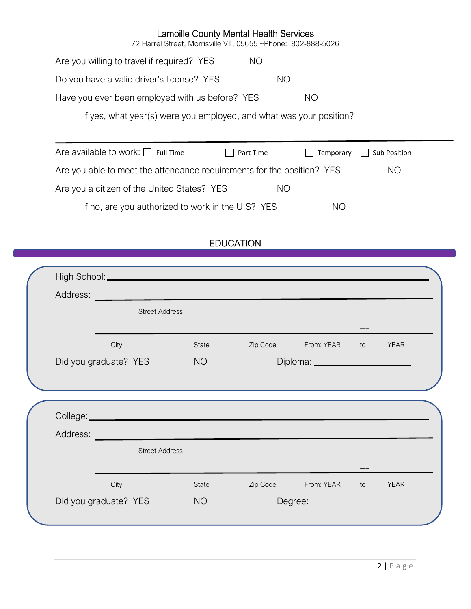72 Harrel Street, Morrisville VT, 05655 ~Phone: 802-888-5026

Are you willing to travel if required? YES NO Do you have a valid driver's license? YES NO Have you ever been employed with us before? YES NO

If yes, what year(s) were you employed, and what was your position?

| Are available to work: $\Box$ Full Time                                | Part Time | $\Box$ Temporary | $\Box$ Sub Position |
|------------------------------------------------------------------------|-----------|------------------|---------------------|
| Are you able to meet the attendance requirements for the position? YES |           |                  | ΝO                  |
| Are you a citizen of the United States? YES                            |           | NO.              |                     |
| If no, are you authorized to work in the U.S? YES                      |           | NO.              |                     |

# EDUCATION

| Address:<br><u> 1989 - Johann Barbara, martxa a</u><br><b>Street Address</b><br>---<br>City<br>Zip Code<br>From: YEAR<br>State<br>to<br>Did you graduate? YES<br>Diploma: ________________________<br><b>NO</b><br>College: <u>experience</u> and the college of the college of the college of the college of the college of the college of the college of the college of the college of the college of the college of the college of the college of t<br>Address:<br><u> 1989 - Johann Stein, marwolaethau a bhann an t-Albann an t-Albann an t-Albann an t-Albann an t-Albann an t-Al</u><br><b>Street Address</b><br>City<br>Zip Code<br>From: YEAR<br>State<br>to<br>Did you graduate? YES<br><b>NO</b> |  |  |  |             |
|-------------------------------------------------------------------------------------------------------------------------------------------------------------------------------------------------------------------------------------------------------------------------------------------------------------------------------------------------------------------------------------------------------------------------------------------------------------------------------------------------------------------------------------------------------------------------------------------------------------------------------------------------------------------------------------------------------------|--|--|--|-------------|
|                                                                                                                                                                                                                                                                                                                                                                                                                                                                                                                                                                                                                                                                                                             |  |  |  |             |
|                                                                                                                                                                                                                                                                                                                                                                                                                                                                                                                                                                                                                                                                                                             |  |  |  |             |
|                                                                                                                                                                                                                                                                                                                                                                                                                                                                                                                                                                                                                                                                                                             |  |  |  |             |
|                                                                                                                                                                                                                                                                                                                                                                                                                                                                                                                                                                                                                                                                                                             |  |  |  | <b>YEAR</b> |
|                                                                                                                                                                                                                                                                                                                                                                                                                                                                                                                                                                                                                                                                                                             |  |  |  |             |
|                                                                                                                                                                                                                                                                                                                                                                                                                                                                                                                                                                                                                                                                                                             |  |  |  |             |
|                                                                                                                                                                                                                                                                                                                                                                                                                                                                                                                                                                                                                                                                                                             |  |  |  |             |
|                                                                                                                                                                                                                                                                                                                                                                                                                                                                                                                                                                                                                                                                                                             |  |  |  |             |
|                                                                                                                                                                                                                                                                                                                                                                                                                                                                                                                                                                                                                                                                                                             |  |  |  |             |
|                                                                                                                                                                                                                                                                                                                                                                                                                                                                                                                                                                                                                                                                                                             |  |  |  |             |
|                                                                                                                                                                                                                                                                                                                                                                                                                                                                                                                                                                                                                                                                                                             |  |  |  |             |
|                                                                                                                                                                                                                                                                                                                                                                                                                                                                                                                                                                                                                                                                                                             |  |  |  |             |
|                                                                                                                                                                                                                                                                                                                                                                                                                                                                                                                                                                                                                                                                                                             |  |  |  |             |
|                                                                                                                                                                                                                                                                                                                                                                                                                                                                                                                                                                                                                                                                                                             |  |  |  | <b>YEAR</b> |
|                                                                                                                                                                                                                                                                                                                                                                                                                                                                                                                                                                                                                                                                                                             |  |  |  |             |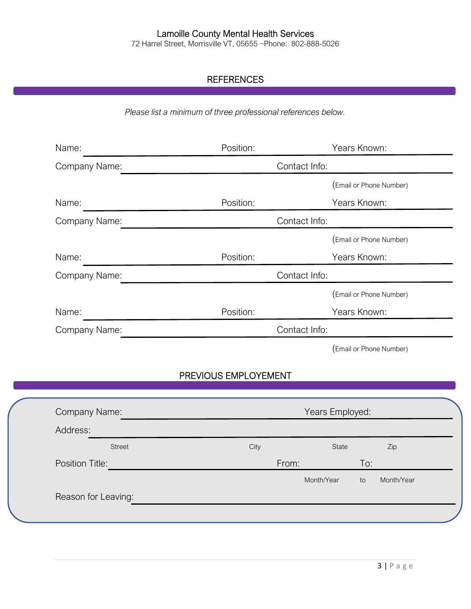72 Harrel Street, Morrisville VT, 05655 ~Phone: 802-888-5026

# **REFERENCES**

*Please list a minimum of three professional references below.* 

| Name:         | Position: | Years Known:            |
|---------------|-----------|-------------------------|
| Company Name: |           | Contact Info:           |
|               |           | (Email or Phone Number) |
| Name:         | Position: | Years Known:            |
| Company Name: |           | Contact Info:           |
|               |           | (Email or Phone Number) |
| Name:         | Position: | Years Known:            |
| Company Name: |           | Contact Info:           |
|               |           | (Email or Phone Number) |
| Name:         | Position: | Years Known:            |
| Company Name: |           | Contact Info:           |
|               |           | (Email or Phone Number) |

# PREVIOUS EMPLOYEMENT

| City  | State |            | Zip             |
|-------|-------|------------|-----------------|
| From: |       | To:        |                 |
|       |       | to         | Month/Year      |
|       |       |            |                 |
|       |       | Month/Year | Years Employed: |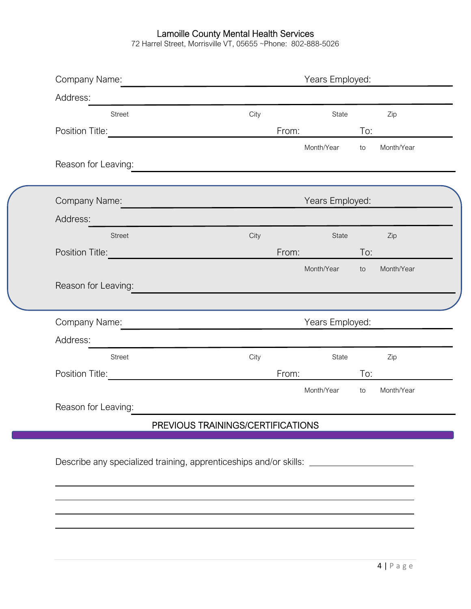72 Harrel Street, Morrisville VT, 05655 ~Phone: 802-888-5026

| Address:                                                 |                                                                                                                        |       |                 |     |            |  |
|----------------------------------------------------------|------------------------------------------------------------------------------------------------------------------------|-------|-----------------|-----|------------|--|
| <b>Street</b>                                            | City                                                                                                                   |       | State           |     | Zip        |  |
| Position Title:                                          |                                                                                                                        | From: |                 | To: |            |  |
|                                                          |                                                                                                                        |       | Month/Year      | to  | Month/Year |  |
| Reason for Leaving:                                      | <u> 1989 - Johann Barn, amerikan besteman besteman besteman besteman besteman besteman besteman besteman bestema</u>   |       |                 |     |            |  |
| Company Name:                                            | <u> Santa Carlo Carlo Carlo Carlo Carlo Carlo Carlo Carlo Carlo Carlo Carlo Carlo Carlo Carlo Carlo Carlo Carlo Ca</u> |       | Years Employed: |     |            |  |
| Address:                                                 |                                                                                                                        |       |                 |     |            |  |
| <b>Street</b>                                            | City                                                                                                                   |       | State           |     | Zip        |  |
| Position Title: <u>www.community.com</u>                 |                                                                                                                        | From: |                 | To: |            |  |
|                                                          |                                                                                                                        |       | Month/Year      | to  | Month/Year |  |
| Reason for Leaving:                                      |                                                                                                                        |       |                 |     |            |  |
| Company Name:                                            | <u> 1989 - Johann Barbara, martxa al</u>                                                                               |       | Years Employed: |     |            |  |
| Address:<br><u> 1980 - Jan Samuel Barbara, martin di</u> |                                                                                                                        |       |                 |     |            |  |
| <b>Street</b>                                            | City                                                                                                                   |       | State           |     | Zip        |  |
| Position Title:                                          |                                                                                                                        | From: |                 | To: |            |  |
|                                                          |                                                                                                                        |       | Month/Year      | to  | Month/Year |  |
| Reason for Leaving:                                      |                                                                                                                        |       |                 |     |            |  |
|                                                          | PREVIOUS TRAININGS/CERTIFICATIONS                                                                                      |       |                 |     |            |  |

 $\overline{\phantom{a}}$  $\overline{\phantom{a}}$